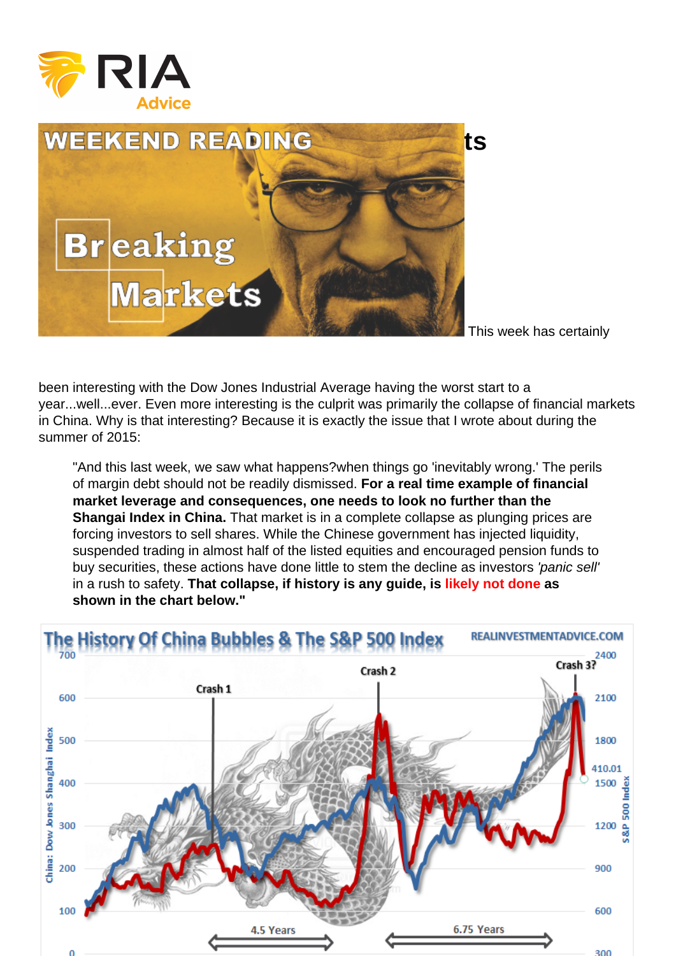## [Weekend Reading: Breaking Markets](https://realinvestmentadvice.com/wp-content/uploads/2016/01/AAA-Weekend-Reading-Breaking-Markets.png)

This week has certainly

been interesting with the Dow Jones Industrial Average having the worst start to a year...well...ever. Even more interesting is the culprit was primarily the collapse of financial markets in China. Why is that interesting? Because it is exactly the issue that I wrote about during the summer of 2015:

"And this last week, we saw what happens?when things go 'inevitably wrong.' The perils of margin debt should not be readily dismissed. For a real time example of financial market leverage and consequences, one needs to look no further than the Shangai Index in China. That market is in a complete collapse as plunging prices are forcing investors to sell shares. While the Chinese government has injected liquidity, suspended trading in almost half of the listed equities and encouraged pension funds to buy securities, these actions have done little to stem the decline as investors 'panic sell' in a rush to safety. That collapse, if history is any quide, is likely not done as shown in the chart below."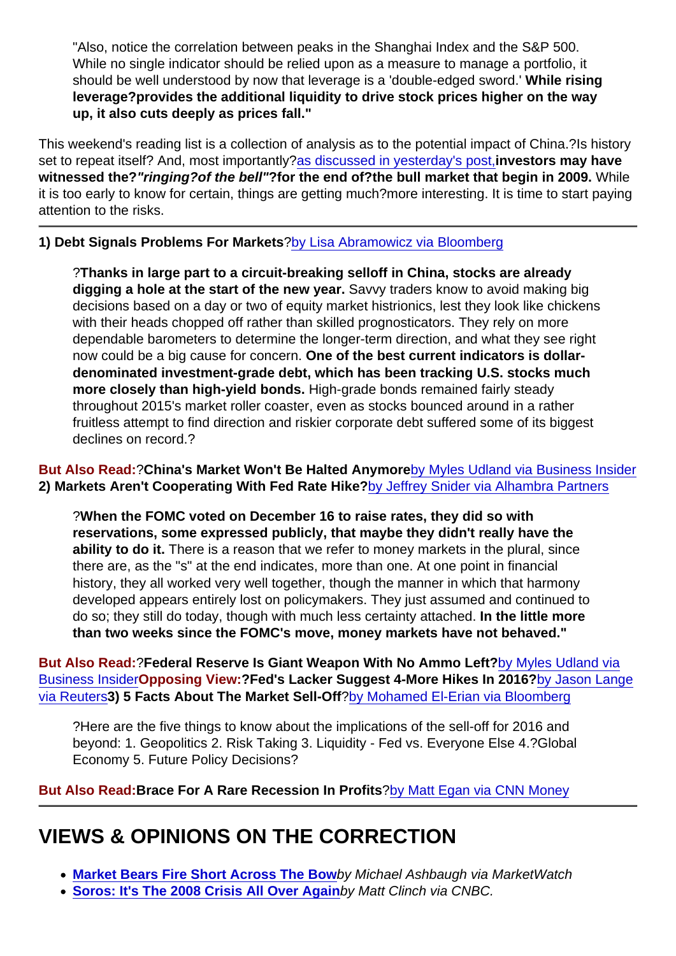"Also, notice the correlation between peaks in the Shanghai Index and the S&P 500. While no single indicator should be relied upon as a measure to manage a portfolio, it should be well understood by now that leverage is a 'double-edged sword.' While rising leverage?provides the additional liquidity to drive stock prices higher on the way up, it also cuts deeply as prices fall."

This weekend's reading list is a collection of analysis as to the potential impact of China.?Is history set to repeat itself? And, most importantly[?as discussed in yesterday's post,](https://realinvestmentadvice.com/3-things-china-margin-technicals/) investors may have witnessed the? "ringing?of the bell" ?for the end of?the bull market that begin in 2009. While it is too early to know for certain, things are getting much?more interesting. It is time to start paying attention to the risks.

1) Debt Signals Problems For Markets ?[by Lisa Abramowicz via Bloomberg](http://www.bloomberg.com/gadfly/articles/2016-01-04/watch-top-rated-bonds-for-clues-on-stock-rout-s-length)

?Thanks in large part to a circuit-breaking selloff in China, stocks are already digging a hole at the start of the new year. Savvy traders know to avoid making big decisions based on a day or two of equity market histrionics, lest they look like chickens with their heads chopped off rather than skilled prognosticators. They rely on more dependable barometers to determine the longer-term direction, and what they see right now could be a big cause for concern. One of the best current indicators is dollardenominated investment-grade debt, which has been tracking U.S. stocks much more closely than high-yield bonds. High-grade bonds remained fairly steady throughout 2015's market roller coaster, even as stocks bounced around in a rather fruitless attempt to find direction and riskier corporate debt suffered some of its biggest declines on record.?

But Also Read: ? China's Market Won't Be Halted Anymore [by Myles Udland via Business Insider](http://www.businessinsider.com/china-stock-market-halt-suspended-2016-1) 2) Markets Aren't Cooperating With Fed Rate Hike? [by Jeffrey Snider via Alhambra Partners](http://www.realclearmarkets.com/articles/2016/01/04/markets_arent_cooperating_with_the_feds_rate_hike_101938.html)

?When the FOMC voted on December 16 to raise rates, they did so with reservations, some expressed publicly, that maybe they didn't really have the ability to do it. There is a reason that we refer to money markets in the plural, since there are, as the "s" at the end indicates, more than one. At one point in financial history, they all worked very well together, though the manner in which that harmony developed appears entirely lost on policymakers. They just assumed and continued to do so; they still do today, though with much less certainty attached. In the little more than two weeks since the FOMC's move, money markets have not behaved."

But Also Read: ?Federal Reserve Is Giant Weapon With No Ammo Left? [by Myles Udland via](http://www.businessinsider.com/richard-fisher-fed-comments-2016-1) [Business Insider](http://www.businessinsider.com/richard-fisher-fed-comments-2016-1)Opposing View: ?Fed's Lacker Suggest 4-More Hikes In 2016? [by Jason Lange](http://finance.yahoo.com/news/fed-may-hike-rates-more-160447034.html) [via Reuters3](http://finance.yahoo.com/news/fed-may-hike-rates-more-160447034.html)) 5 Facts About The Market Sell-Off [?by Mohamed El-Erian via Bloomberg](http://www.bloombergview.com/articles/2016-01-05/five-facts-about-the-market-selloff)

?Here are the five things to know about the implications of the sell-off for 2016 and beyond: 1. Geopolitics 2. Risk Taking 3. Liquidity - Fed vs. Everyone Else 4.?Global Economy 5. Future Policy Decisions?

But Also Read: Brace For A Rare Recession In Profits [?by Matt Egan via CNN Money](http://money.cnn.com/2016/01/07/investing/earnings-recession-oil-strong-dollar/index.html?iid=hp-stack-dom)

## VIEWS & OPINIONS ON THE CORRECTION

- [Market Bears Fire Short Across The Bow](http://www.marketwatch.com/story/market-bears-fire-2016-shot-across-the-bow-2016-01-05-121033041) by Michael Ashbaugh via MarketWatch
- [Soros: It's The 2008 Crisis All Over Again](http://www.cnbc.com/2016/01/07/soros-its-the-2008-crisis-all-over-again.html) by Matt Clinch via CNBC.